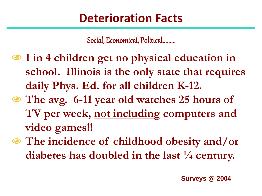## **Deterioration Facts**

Social, Economical, Political.........

- **1 in 4 children get no physical education in school. Illinois is the only state that requires daily Phys. Ed. for all children K-12.**
- **The avg. 6-11 year old watches 25 hours of TV per week, not including computers and video games!!**
- **The incidence of childhood obesity and/or diabetes has doubled in the last ¼ century.**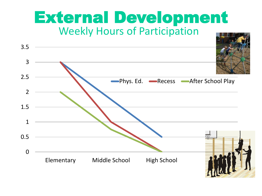## External Development Weekly Hours of Participation

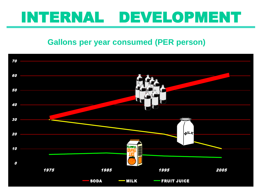# INTERNAL DEVELOPMENT

#### **Gallons per year consumed (PER person)**